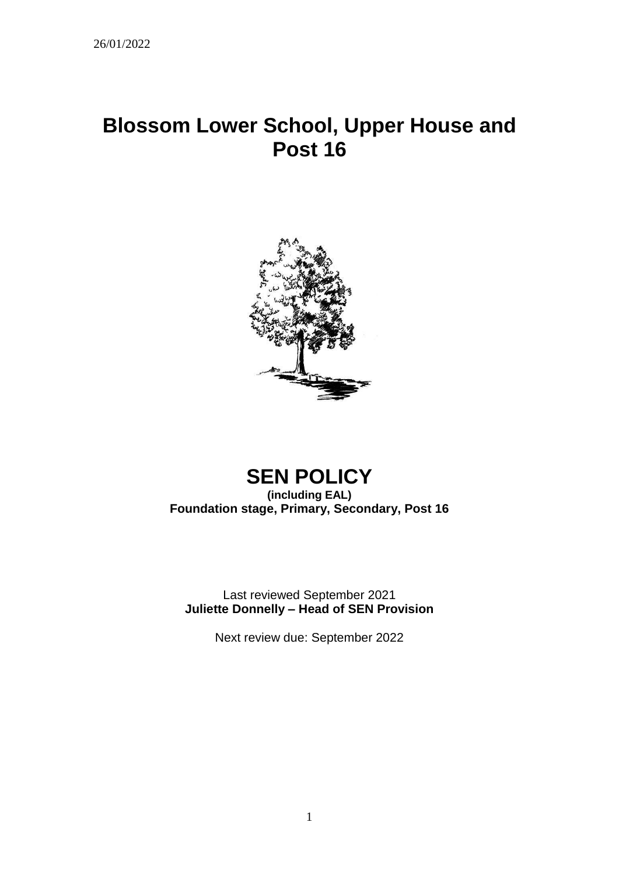# **Blossom Lower School, Upper House and Post 16**



# **SEN POLICY (including EAL) Foundation stage, Primary, Secondary, Post 16**

Last reviewed September 2021 **Juliette Donnelly – Head of SEN Provision**

Next review due: September 2022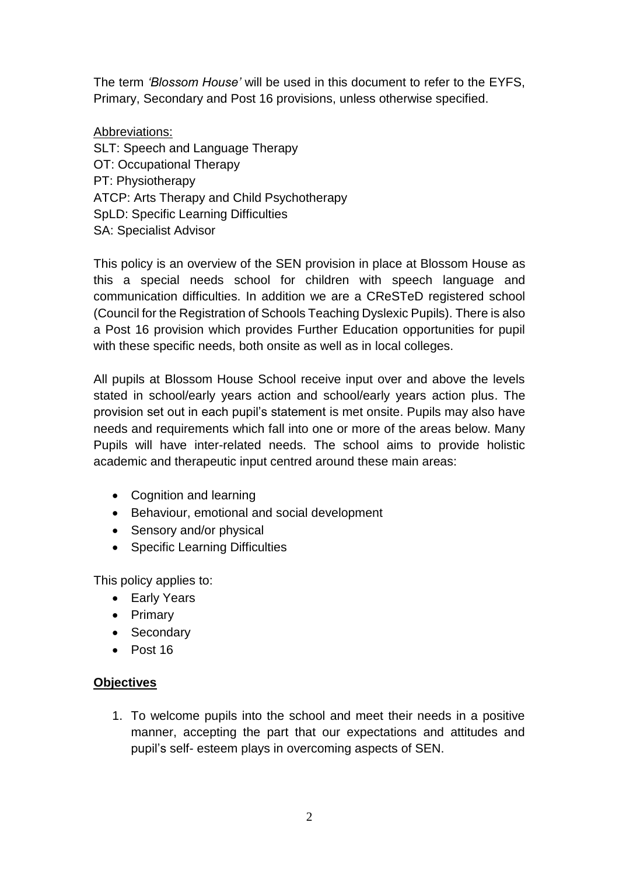The term *'Blossom House'* will be used in this document to refer to the EYFS, Primary, Secondary and Post 16 provisions, unless otherwise specified.

#### Abbreviations:

SLT: Speech and Language Therapy OT: Occupational Therapy PT: Physiotherapy ATCP: Arts Therapy and Child Psychotherapy SpLD: Specific Learning Difficulties SA: Specialist Advisor

This policy is an overview of the SEN provision in place at Blossom House as this a special needs school for children with speech language and communication difficulties. In addition we are a CReSTeD registered school (Council for the Registration of Schools Teaching Dyslexic Pupils). There is also a Post 16 provision which provides Further Education opportunities for pupil with these specific needs, both onsite as well as in local colleges.

All pupils at Blossom House School receive input over and above the levels stated in school/early years action and school/early years action plus. The provision set out in each pupil's statement is met onsite. Pupils may also have needs and requirements which fall into one or more of the areas below. Many Pupils will have inter-related needs. The school aims to provide holistic academic and therapeutic input centred around these main areas:

- Cognition and learning
- Behaviour, emotional and social development
- Sensory and/or physical
- Specific Learning Difficulties

This policy applies to:

- Early Years
- Primary
- Secondary
- Post 16

#### **Objectives**

1. To welcome pupils into the school and meet their needs in a positive manner, accepting the part that our expectations and attitudes and pupil's self- esteem plays in overcoming aspects of SEN.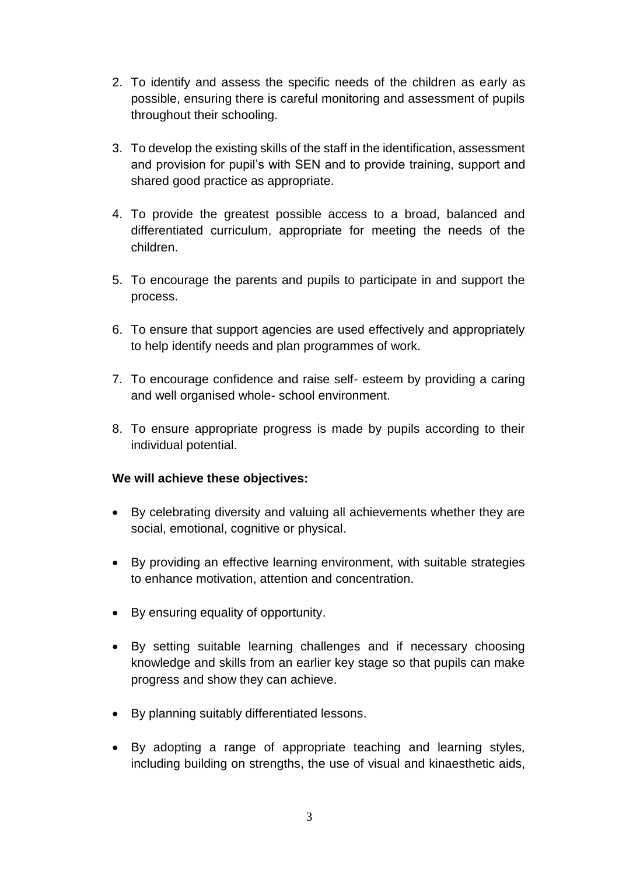- 2. To identify and assess the specific needs of the children as early as possible, ensuring there is careful monitoring and assessment of pupils throughout their schooling.
- 3. To develop the existing skills of the staff in the identification, assessment and provision for pupil's with SEN and to provide training, support and shared good practice as appropriate.
- 4. To provide the greatest possible access to a broad, balanced and differentiated curriculum, appropriate for meeting the needs of the children.
- 5. To encourage the parents and pupils to participate in and support the process.
- 6. To ensure that support agencies are used effectively and appropriately to help identify needs and plan programmes of work.
- 7. To encourage confidence and raise self- esteem by providing a caring and well organised whole- school environment.
- 8. To ensure appropriate progress is made by pupils according to their individual potential.

#### **We will achieve these objectives:**

- By celebrating diversity and valuing all achievements whether they are social, emotional, cognitive or physical.
- By providing an effective learning environment, with suitable strategies to enhance motivation, attention and concentration.
- By ensuring equality of opportunity.
- By setting suitable learning challenges and if necessary choosing knowledge and skills from an earlier key stage so that pupils can make progress and show they can achieve.
- By planning suitably differentiated lessons.
- By adopting a range of appropriate teaching and learning styles, including building on strengths, the use of visual and kinaesthetic aids,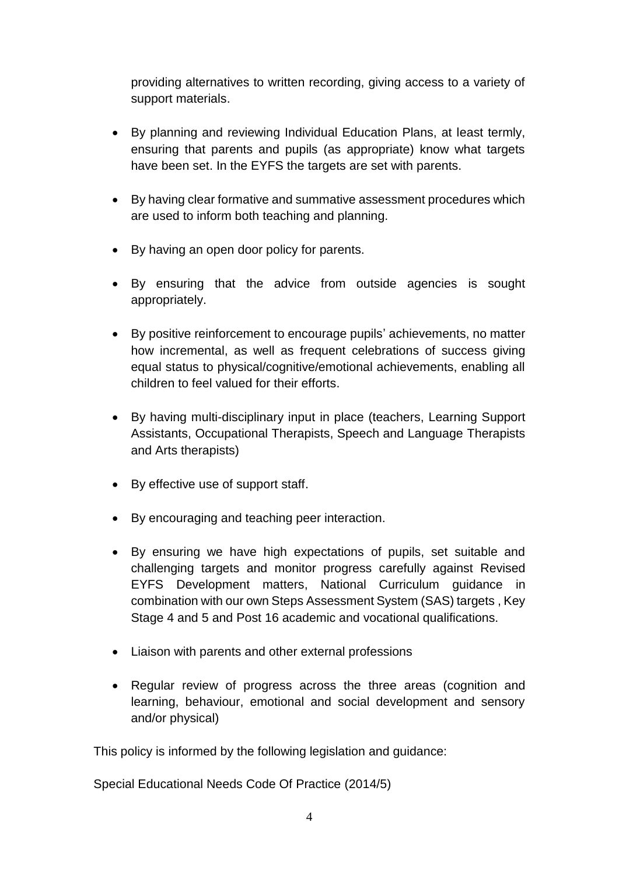providing alternatives to written recording, giving access to a variety of support materials.

- By planning and reviewing Individual Education Plans, at least termly, ensuring that parents and pupils (as appropriate) know what targets have been set. In the EYFS the targets are set with parents.
- By having clear formative and summative assessment procedures which are used to inform both teaching and planning.
- By having an open door policy for parents.
- By ensuring that the advice from outside agencies is sought appropriately.
- By positive reinforcement to encourage pupils' achievements, no matter how incremental, as well as frequent celebrations of success giving equal status to physical/cognitive/emotional achievements, enabling all children to feel valued for their efforts.
- By having multi-disciplinary input in place (teachers, Learning Support Assistants, Occupational Therapists, Speech and Language Therapists and Arts therapists)
- By effective use of support staff.
- By encouraging and teaching peer interaction.
- By ensuring we have high expectations of pupils, set suitable and challenging targets and monitor progress carefully against Revised EYFS Development matters, National Curriculum guidance in combination with our own Steps Assessment System (SAS) targets , Key Stage 4 and 5 and Post 16 academic and vocational qualifications.
- Liaison with parents and other external professions
- Regular review of progress across the three areas (cognition and learning, behaviour, emotional and social development and sensory and/or physical)

This policy is informed by the following legislation and guidance:

Special Educational Needs Code Of Practice (2014/5)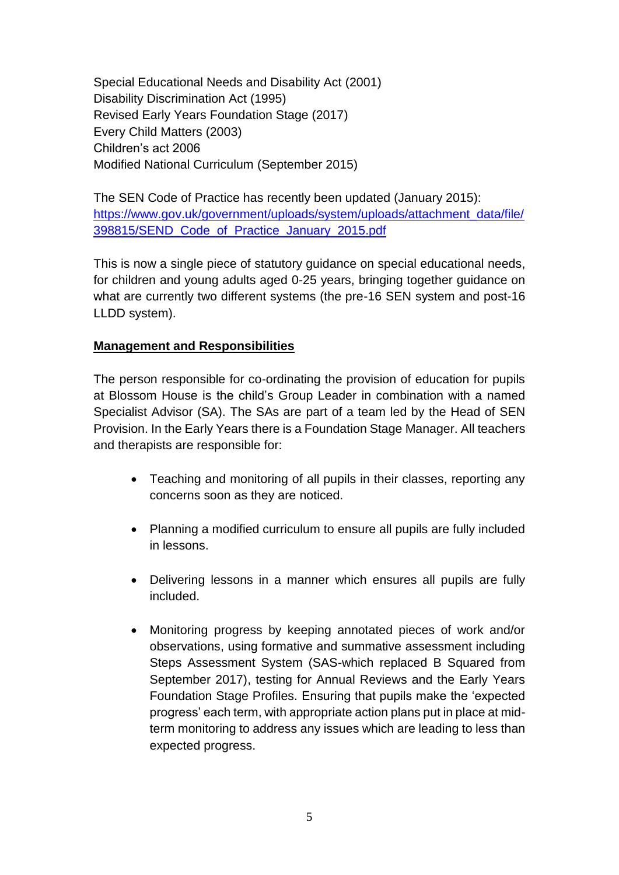Special Educational Needs and Disability Act (2001) Disability Discrimination Act (1995) Revised Early Years Foundation Stage (2017) Every Child Matters (2003) Children's act 2006 Modified National Curriculum (September 2015)

The SEN Code of Practice has recently been updated (January 2015): [https://www.gov.uk/government/uploads/system/uploads/attachment\\_data/file/](https://www.gov.uk/government/uploads/system/uploads/attachment_data/file/398815/SEND_Code_of_Practice_January_2015.pdf) [398815/SEND\\_Code\\_of\\_Practice\\_January\\_2015.pdf](https://www.gov.uk/government/uploads/system/uploads/attachment_data/file/398815/SEND_Code_of_Practice_January_2015.pdf)

This is now a single piece of statutory guidance on special educational needs, for children and young adults aged 0-25 years, bringing together guidance on what are currently two different systems (the pre-16 SEN system and post-16 LLDD system).

#### **Management and Responsibilities**

The person responsible for co-ordinating the provision of education for pupils at Blossom House is the child's Group Leader in combination with a named Specialist Advisor (SA). The SAs are part of a team led by the Head of SEN Provision. In the Early Years there is a Foundation Stage Manager. All teachers and therapists are responsible for:

- Teaching and monitoring of all pupils in their classes, reporting any concerns soon as they are noticed.
- Planning a modified curriculum to ensure all pupils are fully included in lessons.
- Delivering lessons in a manner which ensures all pupils are fully included.
- Monitoring progress by keeping annotated pieces of work and/or observations, using formative and summative assessment including Steps Assessment System (SAS-which replaced B Squared from September 2017), testing for Annual Reviews and the Early Years Foundation Stage Profiles. Ensuring that pupils make the 'expected progress' each term, with appropriate action plans put in place at midterm monitoring to address any issues which are leading to less than expected progress.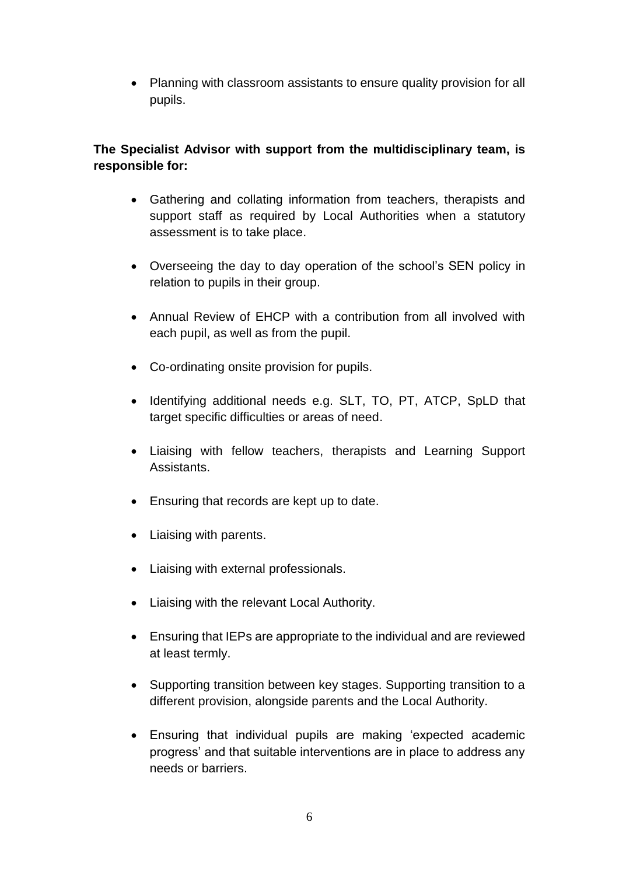• Planning with classroom assistants to ensure quality provision for all pupils.

## **The Specialist Advisor with support from the multidisciplinary team, is responsible for:**

- Gathering and collating information from teachers, therapists and support staff as required by Local Authorities when a statutory assessment is to take place.
- Overseeing the day to day operation of the school's SEN policy in relation to pupils in their group.
- Annual Review of EHCP with a contribution from all involved with each pupil, as well as from the pupil.
- Co-ordinating onsite provision for pupils.
- Identifying additional needs e.g. SLT, TO, PT, ATCP, SpLD that target specific difficulties or areas of need.
- Liaising with fellow teachers, therapists and Learning Support Assistants.
- Ensuring that records are kept up to date.
- Liaising with parents.
- Liaising with external professionals.
- Liaising with the relevant Local Authority.
- Ensuring that IEPs are appropriate to the individual and are reviewed at least termly.
- Supporting transition between key stages. Supporting transition to a different provision, alongside parents and the Local Authority.
- Ensuring that individual pupils are making 'expected academic progress' and that suitable interventions are in place to address any needs or barriers.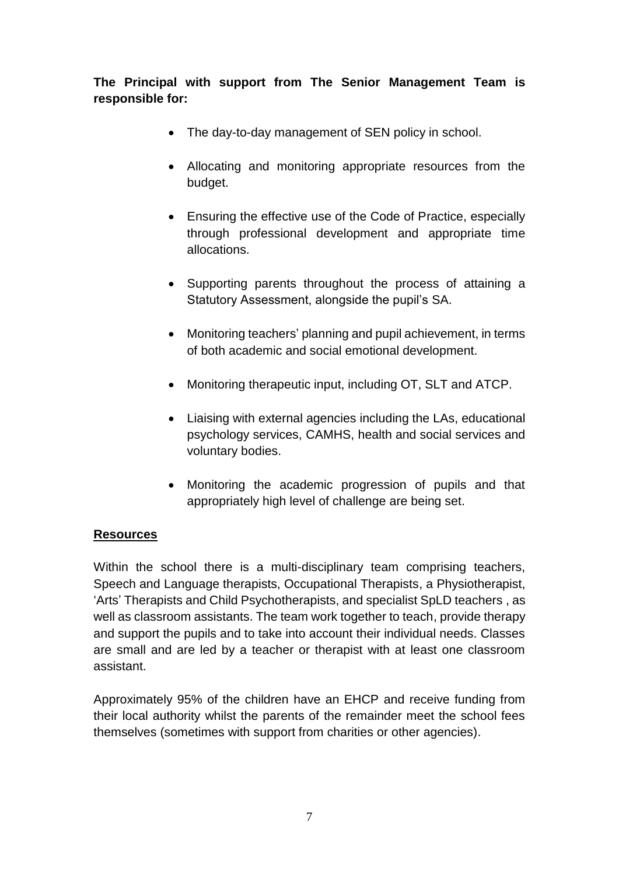**The Principal with support from The Senior Management Team is responsible for:**

- The day-to-day management of SEN policy in school.
- Allocating and monitoring appropriate resources from the budget.
- Ensuring the effective use of the Code of Practice, especially through professional development and appropriate time allocations.
- Supporting parents throughout the process of attaining a Statutory Assessment, alongside the pupil's SA.
- Monitoring teachers' planning and pupil achievement, in terms of both academic and social emotional development.
- Monitoring therapeutic input, including OT, SLT and ATCP.
- Liaising with external agencies including the LAs, educational psychology services, CAMHS, health and social services and voluntary bodies.
- Monitoring the academic progression of pupils and that appropriately high level of challenge are being set.

#### **Resources**

Within the school there is a multi-disciplinary team comprising teachers, Speech and Language therapists, Occupational Therapists, a Physiotherapist, 'Arts' Therapists and Child Psychotherapists, and specialist SpLD teachers , as well as classroom assistants. The team work together to teach, provide therapy and support the pupils and to take into account their individual needs. Classes are small and are led by a teacher or therapist with at least one classroom assistant.

Approximately 95% of the children have an EHCP and receive funding from their local authority whilst the parents of the remainder meet the school fees themselves (sometimes with support from charities or other agencies).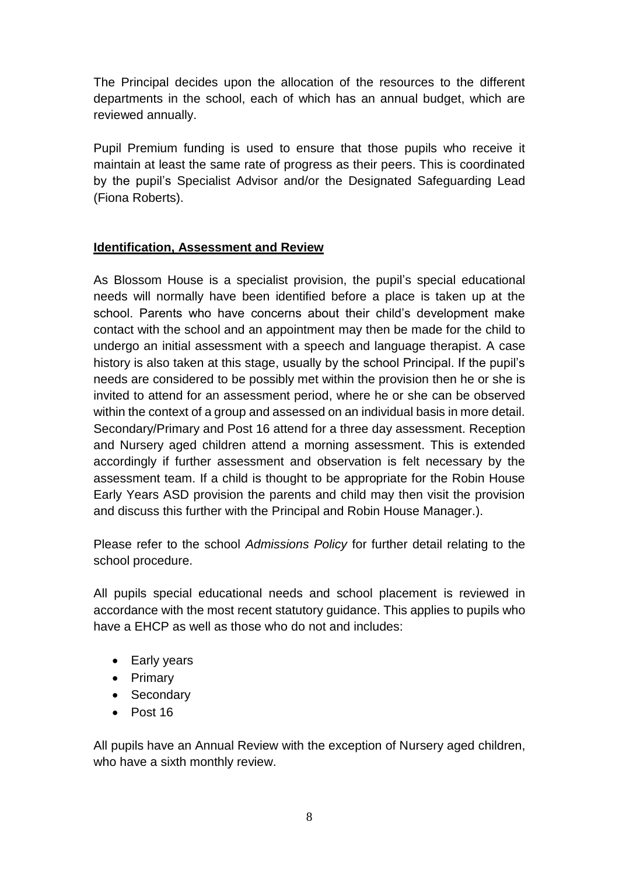The Principal decides upon the allocation of the resources to the different departments in the school, each of which has an annual budget, which are reviewed annually.

Pupil Premium funding is used to ensure that those pupils who receive it maintain at least the same rate of progress as their peers. This is coordinated by the pupil's Specialist Advisor and/or the Designated Safeguarding Lead (Fiona Roberts).

#### **Identification, Assessment and Review**

As Blossom House is a specialist provision, the pupil's special educational needs will normally have been identified before a place is taken up at the school. Parents who have concerns about their child's development make contact with the school and an appointment may then be made for the child to undergo an initial assessment with a speech and language therapist. A case history is also taken at this stage, usually by the school Principal. If the pupil's needs are considered to be possibly met within the provision then he or she is invited to attend for an assessment period, where he or she can be observed within the context of a group and assessed on an individual basis in more detail. Secondary/Primary and Post 16 attend for a three day assessment. Reception and Nursery aged children attend a morning assessment. This is extended accordingly if further assessment and observation is felt necessary by the assessment team. If a child is thought to be appropriate for the Robin House Early Years ASD provision the parents and child may then visit the provision and discuss this further with the Principal and Robin House Manager.).

Please refer to the school *Admissions Policy* for further detail relating to the school procedure.

All pupils special educational needs and school placement is reviewed in accordance with the most recent statutory guidance. This applies to pupils who have a EHCP as well as those who do not and includes:

- Early years
- Primary
- Secondary
- Post 16

All pupils have an Annual Review with the exception of Nursery aged children, who have a sixth monthly review.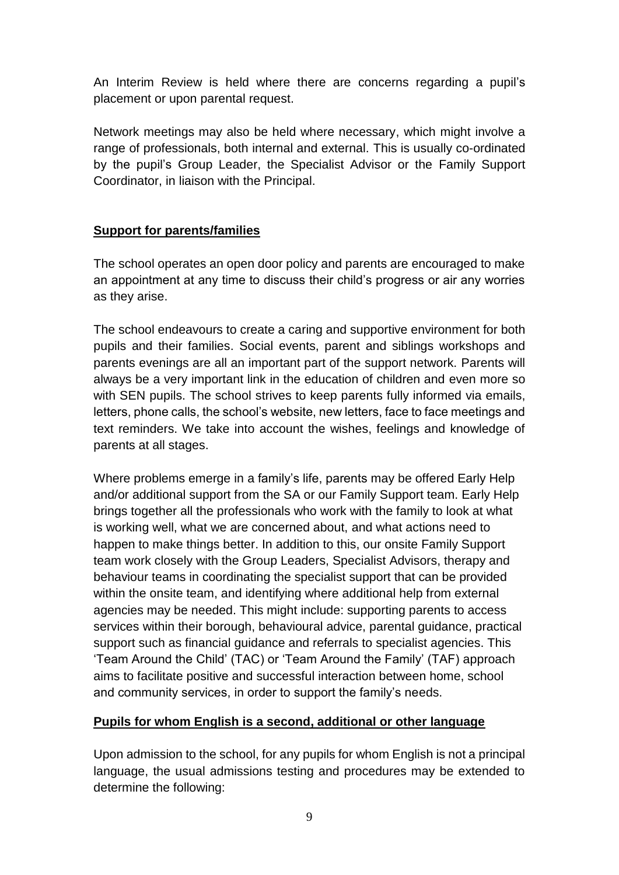An Interim Review is held where there are concerns regarding a pupil's placement or upon parental request.

Network meetings may also be held where necessary, which might involve a range of professionals, both internal and external. This is usually co-ordinated by the pupil's Group Leader, the Specialist Advisor or the Family Support Coordinator, in liaison with the Principal.

#### **Support for parents/families**

The school operates an open door policy and parents are encouraged to make an appointment at any time to discuss their child's progress or air any worries as they arise.

The school endeavours to create a caring and supportive environment for both pupils and their families. Social events, parent and siblings workshops and parents evenings are all an important part of the support network. Parents will always be a very important link in the education of children and even more so with SEN pupils. The school strives to keep parents fully informed via emails, letters, phone calls, the school's website, new letters, face to face meetings and text reminders. We take into account the wishes, feelings and knowledge of parents at all stages.

Where problems emerge in a family's life, parents may be offered Early Help and/or additional support from the SA or our Family Support team. Early Help brings together all the professionals who work with the family to look at what is working well, what we are concerned about, and what actions need to happen to make things better. In addition to this, our onsite Family Support team work closely with the Group Leaders, Specialist Advisors, therapy and behaviour teams in coordinating the specialist support that can be provided within the onsite team, and identifying where additional help from external agencies may be needed. This might include: supporting parents to access services within their borough, behavioural advice, parental guidance, practical support such as financial guidance and referrals to specialist agencies. This 'Team Around the Child' (TAC) or 'Team Around the Family' (TAF) approach aims to facilitate positive and successful interaction between home, school and community services, in order to support the family's needs.

#### **Pupils for whom English is a second, additional or other language**

Upon admission to the school, for any pupils for whom English is not a principal language, the usual admissions testing and procedures may be extended to determine the following: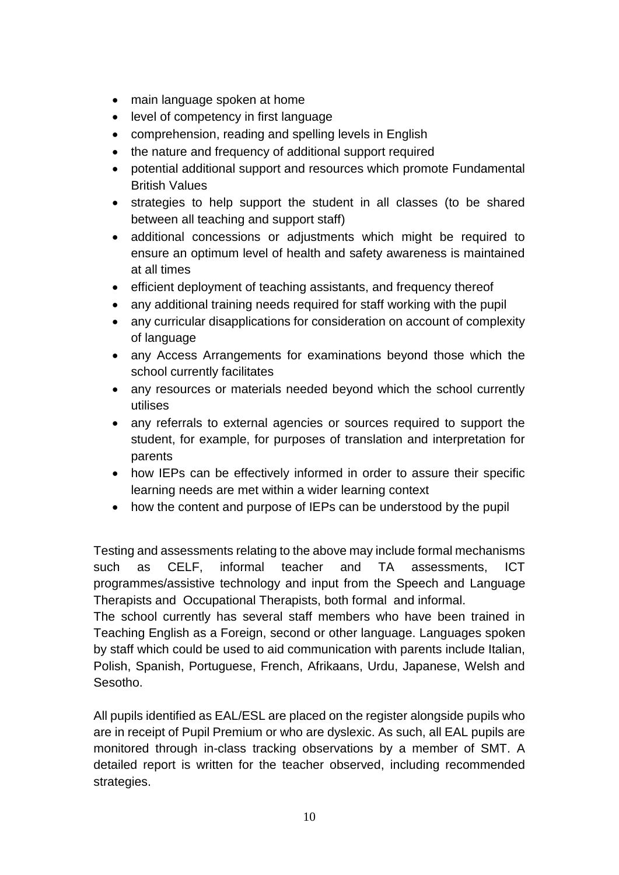- main language spoken at home
- level of competency in first language
- comprehension, reading and spelling levels in English
- the nature and frequency of additional support required
- potential additional support and resources which promote Fundamental British Values
- strategies to help support the student in all classes (to be shared between all teaching and support staff)
- additional concessions or adjustments which might be required to ensure an optimum level of health and safety awareness is maintained at all times
- efficient deployment of teaching assistants, and frequency thereof
- any additional training needs required for staff working with the pupil
- any curricular disapplications for consideration on account of complexity of language
- any Access Arrangements for examinations beyond those which the school currently facilitates
- any resources or materials needed beyond which the school currently utilises
- any referrals to external agencies or sources required to support the student, for example, for purposes of translation and interpretation for parents
- how IEPs can be effectively informed in order to assure their specific learning needs are met within a wider learning context
- how the content and purpose of IEPs can be understood by the pupil

Testing and assessments relating to the above may include formal mechanisms such as CELF, informal teacher and TA assessments, ICT programmes/assistive technology and input from the Speech and Language Therapists and Occupational Therapists, both formal and informal.

The school currently has several staff members who have been trained in Teaching English as a Foreign, second or other language. Languages spoken by staff which could be used to aid communication with parents include Italian, Polish, Spanish, Portuguese, French, Afrikaans, Urdu, Japanese, Welsh and Sesotho.

All pupils identified as EAL/ESL are placed on the register alongside pupils who are in receipt of Pupil Premium or who are dyslexic. As such, all EAL pupils are monitored through in-class tracking observations by a member of SMT. A detailed report is written for the teacher observed, including recommended strategies.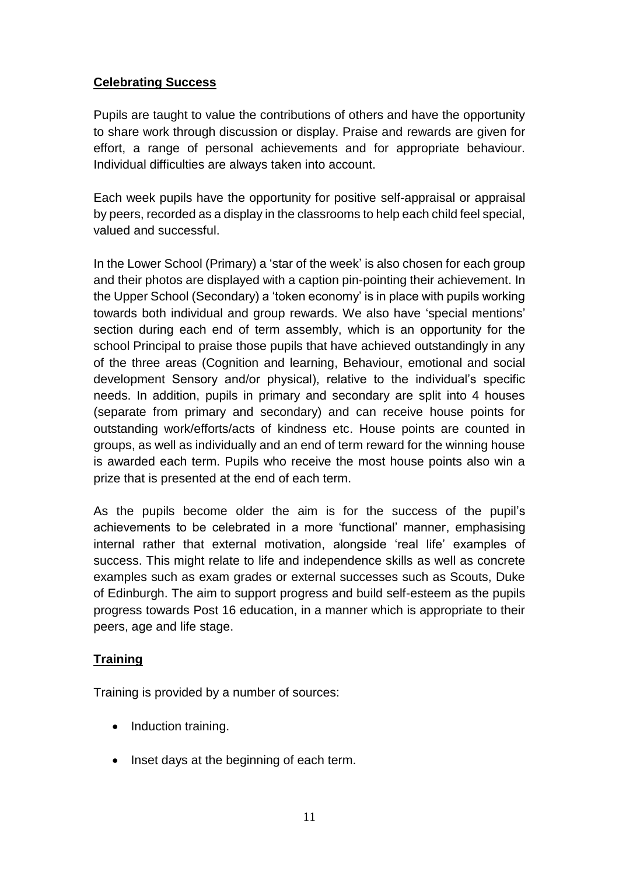### **Celebrating Success**

Pupils are taught to value the contributions of others and have the opportunity to share work through discussion or display. Praise and rewards are given for effort, a range of personal achievements and for appropriate behaviour. Individual difficulties are always taken into account.

Each week pupils have the opportunity for positive self-appraisal or appraisal by peers, recorded as a display in the classrooms to help each child feel special, valued and successful.

In the Lower School (Primary) a 'star of the week' is also chosen for each group and their photos are displayed with a caption pin-pointing their achievement. In the Upper School (Secondary) a 'token economy' is in place with pupils working towards both individual and group rewards. We also have 'special mentions' section during each end of term assembly, which is an opportunity for the school Principal to praise those pupils that have achieved outstandingly in any of the three areas (Cognition and learning, Behaviour, emotional and social development Sensory and/or physical), relative to the individual's specific needs. In addition, pupils in primary and secondary are split into 4 houses (separate from primary and secondary) and can receive house points for outstanding work/efforts/acts of kindness etc. House points are counted in groups, as well as individually and an end of term reward for the winning house is awarded each term. Pupils who receive the most house points also win a prize that is presented at the end of each term.

As the pupils become older the aim is for the success of the pupil's achievements to be celebrated in a more 'functional' manner, emphasising internal rather that external motivation, alongside 'real life' examples of success. This might relate to life and independence skills as well as concrete examples such as exam grades or external successes such as Scouts, Duke of Edinburgh. The aim to support progress and build self-esteem as the pupils progress towards Post 16 education, in a manner which is appropriate to their peers, age and life stage.

# **Training**

Training is provided by a number of sources:

- Induction training.
- Inset days at the beginning of each term.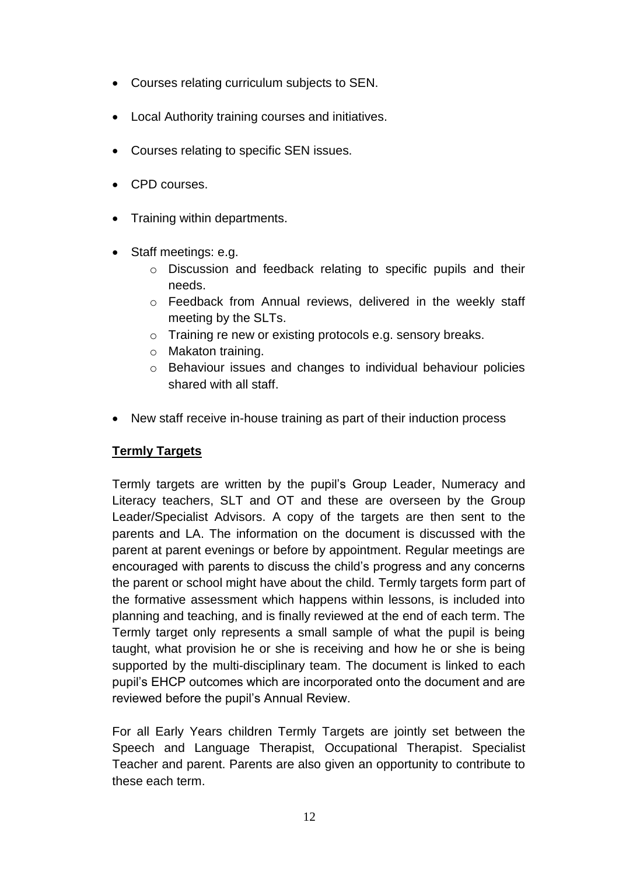- Courses relating curriculum subjects to SEN.
- Local Authority training courses and initiatives.
- Courses relating to specific SEN issues.
- CPD courses.
- Training within departments.
- Staff meetings: e.g.
	- o Discussion and feedback relating to specific pupils and their needs.
	- o Feedback from Annual reviews, delivered in the weekly staff meeting by the SLTs.
	- o Training re new or existing protocols e.g. sensory breaks.
	- o Makaton training.
	- o Behaviour issues and changes to individual behaviour policies shared with all staff.
- New staff receive in-house training as part of their induction process

#### **Termly Targets**

Termly targets are written by the pupil's Group Leader, Numeracy and Literacy teachers, SLT and OT and these are overseen by the Group Leader/Specialist Advisors. A copy of the targets are then sent to the parents and LA. The information on the document is discussed with the parent at parent evenings or before by appointment. Regular meetings are encouraged with parents to discuss the child's progress and any concerns the parent or school might have about the child. Termly targets form part of the formative assessment which happens within lessons, is included into planning and teaching, and is finally reviewed at the end of each term. The Termly target only represents a small sample of what the pupil is being taught, what provision he or she is receiving and how he or she is being supported by the multi-disciplinary team. The document is linked to each pupil's EHCP outcomes which are incorporated onto the document and are reviewed before the pupil's Annual Review.

For all Early Years children Termly Targets are jointly set between the Speech and Language Therapist, Occupational Therapist. Specialist Teacher and parent. Parents are also given an opportunity to contribute to these each term.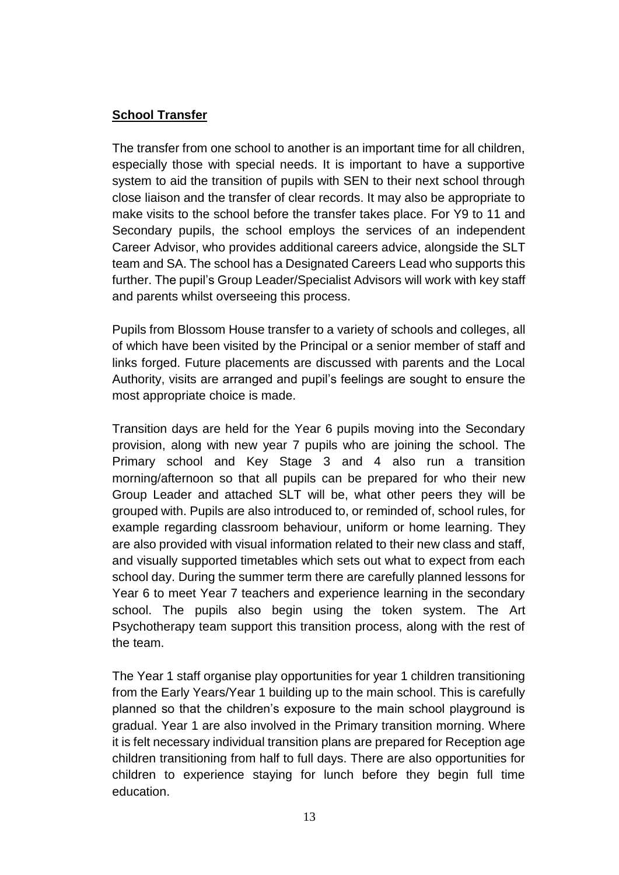### **School Transfer**

The transfer from one school to another is an important time for all children, especially those with special needs. It is important to have a supportive system to aid the transition of pupils with SEN to their next school through close liaison and the transfer of clear records. It may also be appropriate to make visits to the school before the transfer takes place. For Y9 to 11 and Secondary pupils, the school employs the services of an independent Career Advisor, who provides additional careers advice, alongside the SLT team and SA. The school has a Designated Careers Lead who supports this further. The pupil's Group Leader/Specialist Advisors will work with key staff and parents whilst overseeing this process.

Pupils from Blossom House transfer to a variety of schools and colleges, all of which have been visited by the Principal or a senior member of staff and links forged. Future placements are discussed with parents and the Local Authority, visits are arranged and pupil's feelings are sought to ensure the most appropriate choice is made.

Transition days are held for the Year 6 pupils moving into the Secondary provision, along with new year 7 pupils who are joining the school. The Primary school and Key Stage 3 and 4 also run a transition morning/afternoon so that all pupils can be prepared for who their new Group Leader and attached SLT will be, what other peers they will be grouped with. Pupils are also introduced to, or reminded of, school rules, for example regarding classroom behaviour, uniform or home learning. They are also provided with visual information related to their new class and staff, and visually supported timetables which sets out what to expect from each school day. During the summer term there are carefully planned lessons for Year 6 to meet Year 7 teachers and experience learning in the secondary school. The pupils also begin using the token system. The Art Psychotherapy team support this transition process, along with the rest of the team.

The Year 1 staff organise play opportunities for year 1 children transitioning from the Early Years/Year 1 building up to the main school. This is carefully planned so that the children's exposure to the main school playground is gradual. Year 1 are also involved in the Primary transition morning. Where it is felt necessary individual transition plans are prepared for Reception age children transitioning from half to full days. There are also opportunities for children to experience staying for lunch before they begin full time education.